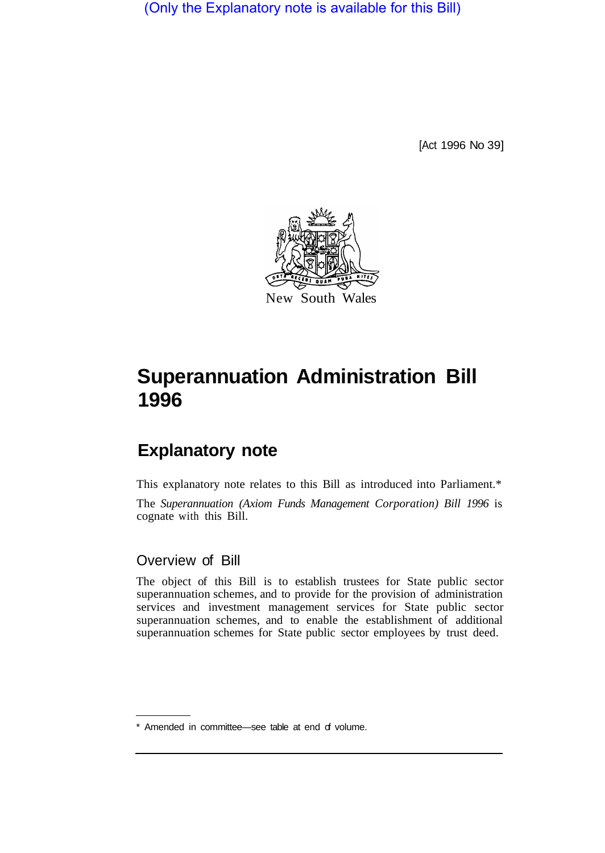(Only the Explanatory note is available for this Bill)

[Act 1996 No 39]



# **Superannuation Administration Bill 1996**

# **Explanatory note**

This explanatory note relates to this Bill as introduced into Parliament.\* The *Superannuation (Axiom Funds Management Corporation) Bill 1996* is cognate with this Bill.

# Overview of Bill

The object of this Bill is to establish trustees for State public sector superannuation schemes, and to provide for the provision of administration services and investment management services for State public sector superannuation schemes, and to enable the establishment of additional superannuation schemes for State public sector employees by trust deed.

<sup>\*</sup> Amended in committee—see table at end of volume.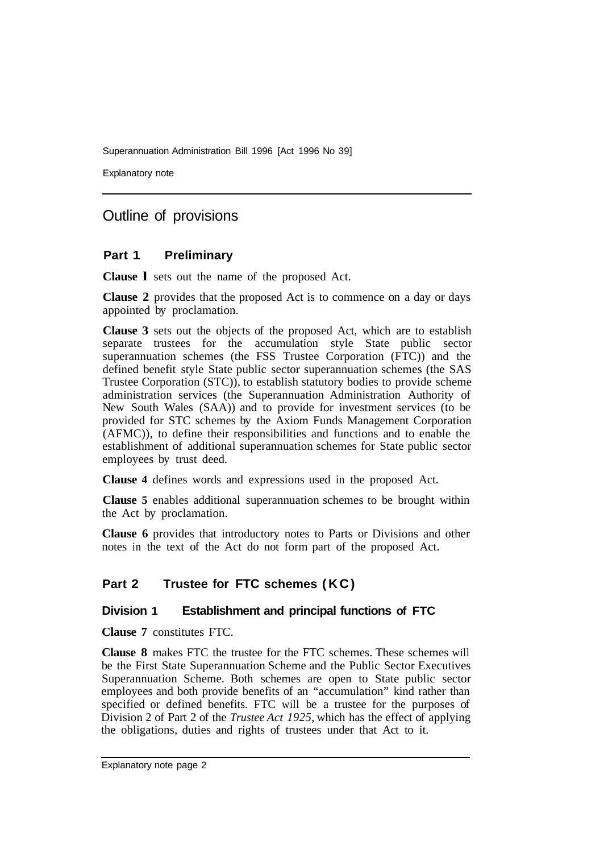Explanatory note

# Outline of provisions

# **Part 1 Preliminary**

**Clause l** sets out the name of the proposed Act.

**Clause 2** provides that the proposed Act is to commence on a day or days appointed by proclamation.

**Clause 3** sets out the objects of the proposed Act, which are to establish separate trustees for the accumulation style State public sector superannuation schemes (the FSS Trustee Corporation (FTC)) and the defined benefit style State public sector superannuation schemes (the SAS Trustee Corporation (STC)), to establish statutory bodies to provide scheme administration services (the Superannuation Administration Authority of New South Wales (SAA)) and to provide for investment services (to be provided for STC schemes by the Axiom Funds Management Corporation (AFMC)), to define their responsibilities and functions and to enable the establishment of additional superannuation schemes for State public sector employees by trust deed.

**Clause 4** defines words and expressions used in the proposed Act.

**Clause 5** enables additional superannuation schemes to be brought within the Act by proclamation.

**Clause 6** provides that introductory notes to Parts or Divisions and other notes in the text of the Act do not form part of the proposed Act.

# **Part 2 Trustee for FTC schemes (KC)**

# **Division 1 Establishment and principal functions of FTC**

**Clause 7** constitutes FTC.

**Clause 8** makes FTC the trustee for the FTC schemes. These schemes will be the First State Superannuation Scheme and the Public Sector Executives Superannuation Scheme. Both schemes are open to State public sector employees and both provide benefits of an "accumulation" kind rather than specified or defined benefits. FTC will be a trustee for the purposes of Division 2 of Part 2 of the *Trustee Act 1925,* which has the effect of applying the obligations, duties and rights of trustees under that Act to it.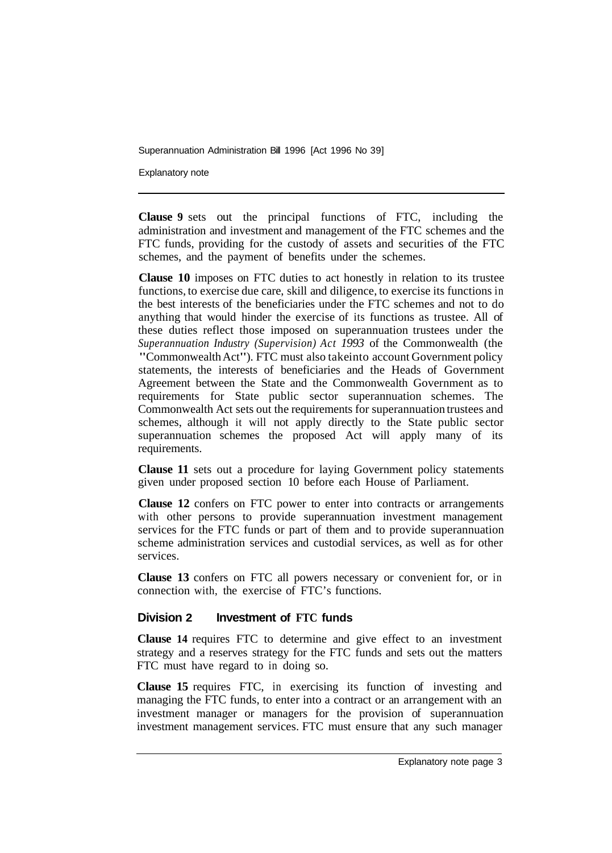Explanatory note

**Clause 9** sets out the principal functions of FTC, including the administration and investment and management of the FTC schemes and the FTC funds, providing for the custody of assets and securities of the FTC schemes, and the payment of benefits under the schemes.

**Clause 10** imposes on FTC duties to act honestly in relation to its trustee functions, to exercise due care, skill and diligence, to exercise its functions in the best interests of the beneficiaries under the FTC schemes and not to do anything that would hinder the exercise of its functions as trustee. All of these duties reflect those imposed on superannuation trustees under the *Superannuation Industry (Supervision) Act 1993* of the Commonwealth (the "Commonwealth Act"). FTC must also take into account Government policy statements, the interests of beneficiaries and the Heads of Government Agreement between the State and the Commonwealth Government as to requirements for State public sector superannuation schemes. The Commonwealth Act sets out the requirements for superannuation trustees and schemes, although it will not apply directly to the State public sector superannuation schemes the proposed Act will apply many of its requirements.

**Clause 11** sets out a procedure for laying Government policy statements given under proposed section 10 before each House of Parliament.

**Clause 12** confers on FTC power to enter into contracts or arrangements with other persons to provide superannuation investment management services for the FTC funds or part of them and to provide superannuation scheme administration services and custodial services, as well as for other services.

**Clause 13** confers on FTC all powers necessary or convenient for, or in connection with, the exercise of FTC's functions.

#### **Division 2 Investment of FTC funds**

**Clause 14** requires FTC to determine and give effect to an investment strategy and a reserves strategy for the FTC funds and sets out the matters FTC must have regard to in doing so.

**Clause 15** requires FTC, in exercising its function of investing and managing the FTC funds, to enter into a contract or an arrangement with an investment manager or managers for the provision of superannuation investment management services. FTC must ensure that any such manager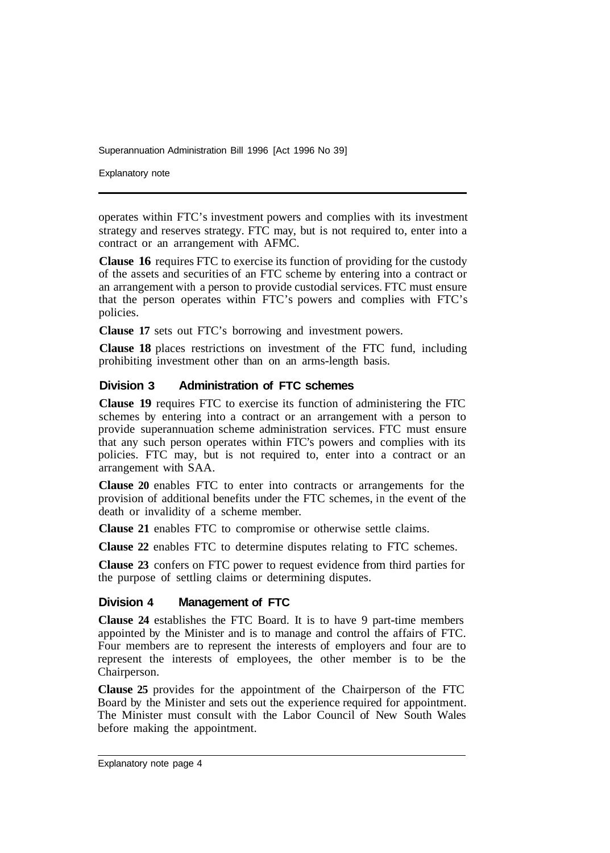Explanatory note

operates within FTC's investment powers and complies with its investment strategy and reserves strategy. FTC may, but is not required to, enter into a contract or an arrangement with AFMC.

**Clause 16** requires FTC to exercise its function of providing for the custody of the assets and securities of an FTC scheme by entering into a contract or an arrangement with a person to provide custodial services. FTC must ensure that the person operates within FTC's powers and complies with FTC's policies.

**Clause 17** sets out FTC's borrowing and investment powers.

**Clause 18** places restrictions on investment of the FTC fund, including prohibiting investment other than on an arms-length basis.

#### **Division 3 Administration of FTC schemes**

**Clause 19** requires FTC to exercise its function of administering the FTC schemes by entering into a contract or an arrangement with a person to provide superannuation scheme administration services. FTC must ensure that any such person operates within FTC's powers and complies with its policies. FTC may, but is not required to, enter into a contract or an arrangement with SAA.

**Clause 20** enables FTC to enter into contracts or arrangements for the provision of additional benefits under the FTC schemes, in the event of the death or invalidity of a scheme member.

**Clause 21** enables FTC to compromise or otherwise settle claims.

**Clause 22** enables FTC to determine disputes relating to FTC schemes.

**Clause 23** confers on FTC power to request evidence from third parties for the purpose of settling claims or determining disputes.

#### **Division 4 Management of FTC**

**Clause 24** establishes the FTC Board. It is to have 9 part-time members appointed by the Minister and is to manage and control the affairs of FTC. Four members are to represent the interests of employers and four are to represent the interests of employees, the other member is to be the Chairperson.

**Clause 25** provides for the appointment of the Chairperson of the FTC Board by the Minister and sets out the experience required for appointment. The Minister must consult with the Labor Council of New South Wales before making the appointment.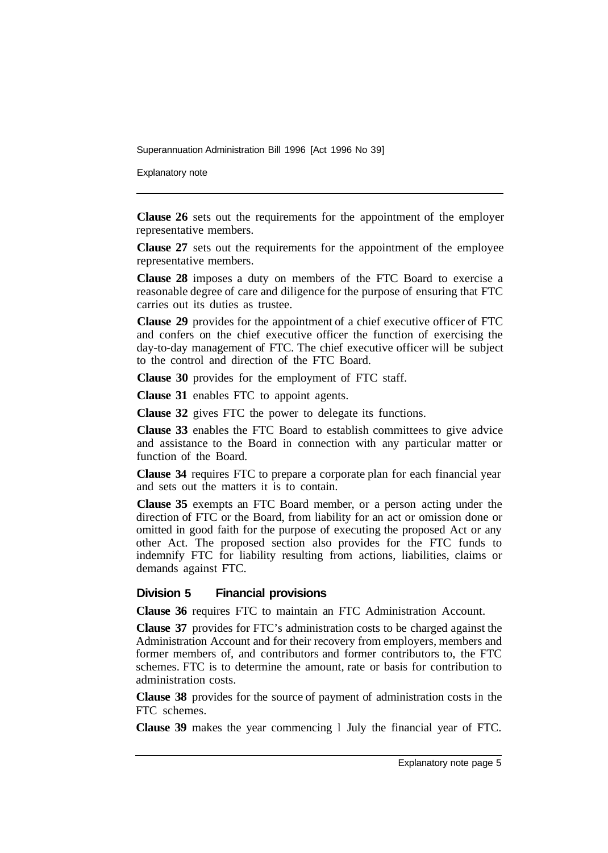Explanatory note

**Clause 26** sets out the requirements for the appointment of the employer representative members.

**Clause 27** sets out the requirements for the appointment of the employee representative members.

**Clause 28** imposes a duty on members of the FTC Board to exercise a reasonable degree of care and diligence for the purpose of ensuring that FTC carries out its duties as trustee.

**Clause 29** provides for the appointment of a chief executive officer of FTC and confers on the chief executive officer the function of exercising the day-to-day management of FTC. The chief executive officer will be subject to the control and direction of the FTC Board.

**Clause 30** provides for the employment of FTC staff.

**Clause 31** enables FTC to appoint agents.

**Clause 32** gives FTC the power to delegate its functions.

**Clause 33** enables the FTC Board to establish committees to give advice and assistance to the Board in connection with any particular matter or function of the Board.

**Clause 34** requires FTC to prepare a corporate plan for each financial year and sets out the matters it is to contain.

**Clause 35** exempts an FTC Board member, or a person acting under the direction of FTC or the Board, from liability for an act or omission done or omitted in good faith for the purpose of executing the proposed Act or any other Act. The proposed section also provides for the FTC funds to indemnify FTC for liability resulting from actions, liabilities, claims or demands against FTC.

# **Division 5 Financial provisions**

**Clause 36** requires FTC to maintain an FTC Administration Account.

**Clause 37** provides for FTC's administration costs to be charged against the Administration Account and for their recovery from employers, members and former members of, and contributors and former contributors to, the FTC schemes. FTC is to determine the amount, rate or basis for contribution to administration costs.

**Clause 38** provides for the source of payment of administration costs in the FTC schemes.

**Clause 39** makes the year commencing l July the financial year of FTC.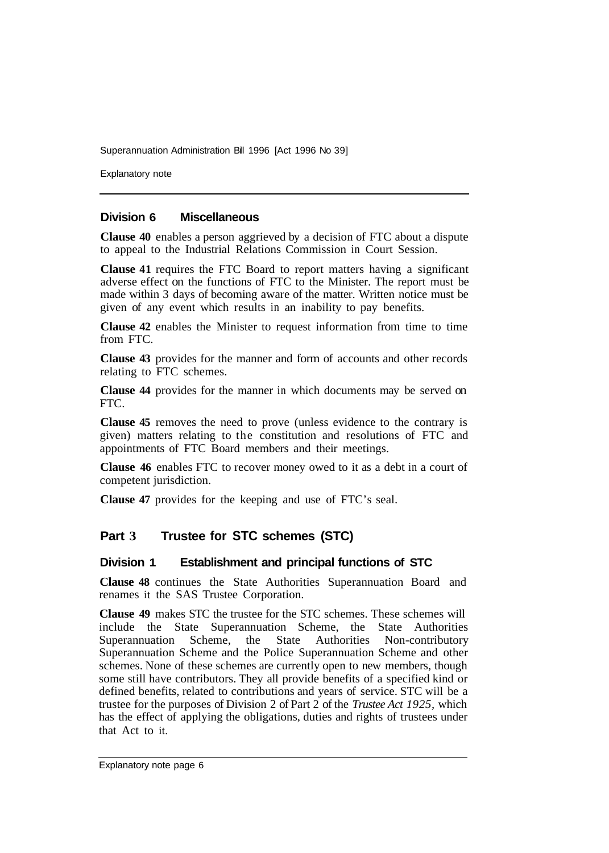Explanatory note

#### **Division 6 Miscellaneous**

**Clause 40** enables a person aggrieved by a decision of FTC about a dispute to appeal to the Industrial Relations Commission in Court Session.

**Clause 41** requires the FTC Board to report matters having a significant adverse effect on the functions of FTC to the Minister. The report must be made within 3 days of becoming aware of the matter. Written notice must be given of any event which results in an inability to pay benefits.

**Clause 42** enables the Minister to request information from time to time from FTC.

**Clause 43** provides for the manner and form of accounts and other records relating to FTC schemes.

**Clause 44** provides for the manner in which documents may be served on FTC.

**Clause 45** removes the need to prove (unless evidence to the contrary is given) matters relating to the constitution and resolutions of FTC and appointments of FTC Board members and their meetings.

**Clause 46** enables FTC to recover money owed to it as a debt in a court of competent jurisdiction.

**Clause 47** provides for the keeping and use of FTC's seal.

# **Part 3 Trustee for STC schemes (STC)**

#### **Division 1 Establishment and principal functions of STC**

**Clause 48** continues the State Authorities Superannuation Board and renames it the SAS Trustee Corporation.

**Clause 49** makes STC the trustee for the STC schemes. These schemes will include the State Superannuation Scheme, the State Authorities Superannuation Scheme, the State Authorities Non-contributory Superannuation Scheme and the Police Superannuation Scheme and other schemes. None of these schemes are currently open to new members, though some still have contributors. They all provide benefits of a specified kind or defined benefits, related to contributions and years of service. STC will be a trustee for the purposes of Division 2 of Part 2 of the *Trustee Act 1925,* which has the effect of applying the obligations, duties and rights of trustees under that Act to it.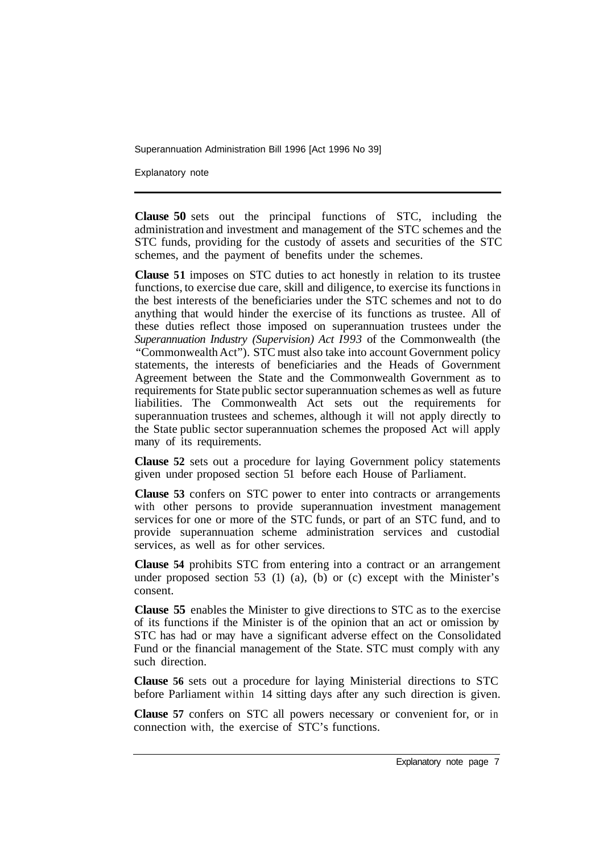Explanatory note

**Clause 50** sets out the principal functions of STC, including the administration and investment and management of the STC schemes and the STC funds, providing for the custody of assets and securities of the STC schemes, and the payment of benefits under the schemes.

**Clause 51** imposes on STC duties to act honestly in relation to its trustee functions, to exercise due care, skill and diligence, to exercise its functions in the best interests of the beneficiaries under the STC schemes and not to do anything that would hinder the exercise of its functions as trustee. All of these duties reflect those imposed on superannuation trustees under the *Superannuation Industry (Supervision) Act I993* of the Commonwealth (the "Commonwealth Act"). STC must also take into account Government policy statements, the interests of beneficiaries and the Heads of Government Agreement between the State and the Commonwealth Government as to requirements for State public sector superannuation schemes as well as future liabilities. The Commonwealth Act sets out the requirements for superannuation trustees and schemes, although it will not apply directly to the State public sector superannuation schemes the proposed Act will apply many of its requirements.

**Clause 52** sets out a procedure for laying Government policy statements given under proposed section 51 before each House of Parliament.

**Clause 53** confers on STC power to enter into contracts or arrangements with other persons to provide superannuation investment management services for one or more of the STC funds, or part of an STC fund, and to provide superannuation scheme administration services and custodial services, as well as for other services.

**Clause 54** prohibits STC from entering into a contract or an arrangement under proposed section 53 (1) (a), (b) or (c) except with the Minister's consent.

**Clause 55** enables the Minister to give directions to STC as to the exercise of its functions if the Minister is of the opinion that an act or omission by STC has had or may have a significant adverse effect on the Consolidated Fund or the financial management of the State. STC must comply with any such direction.

**Clause 56** sets out a procedure for laying Ministerial directions to STC before Parliament within 14 sitting days after any such direction is given.

**Clause 57** confers on STC all powers necessary or convenient for, or in connection with, the exercise of STC's functions.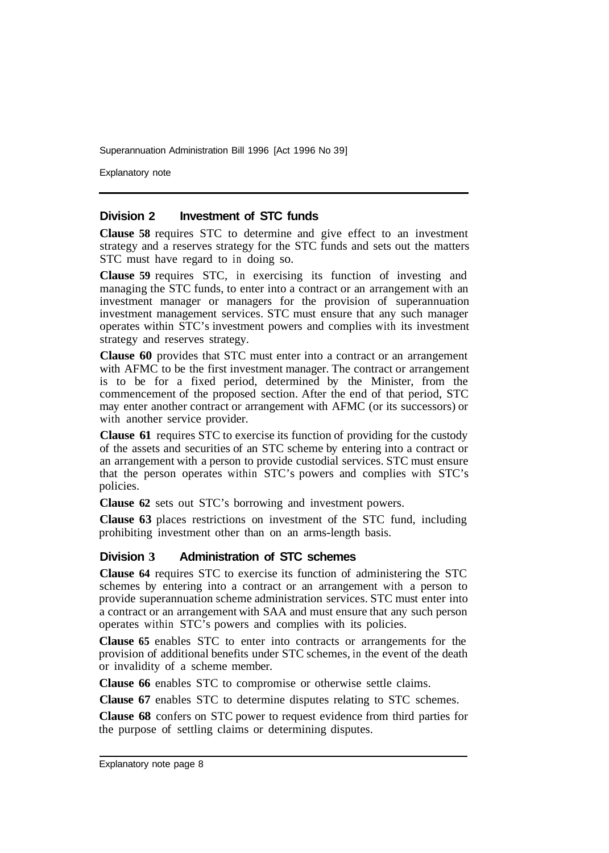Explanatory note

#### **Division 2 Investment of STC funds**

**Clause 58** requires STC to determine and give effect to an investment strategy and a reserves strategy for the STC funds and sets out the matters STC must have regard to in doing so.

**Clause 59** requires STC, in exercising its function of investing and managing the STC funds, to enter into a contract or an arrangement with an investment manager or managers for the provision of superannuation investment management services. STC must ensure that any such manager operates within STC's investment powers and complies with its investment strategy and reserves strategy.

**Clause 60** provides that STC must enter into a contract or an arrangement with AFMC to be the first investment manager. The contract or arrangement is to be for a fixed period, determined by the Minister, from the commencement of the proposed section. After the end of that period, STC may enter another contract or arrangement with AFMC (or its successors) or with another service provider.

**Clause 61** requires STC to exercise its function of providing for the custody of the assets and securities of an STC scheme by entering into a contract or an arrangement with a person to provide custodial services. STC must ensure that the person operates within STC's powers and complies with STC's policies.

**Clause 62** sets out STC's borrowing and investment powers.

**Clause 63** places restrictions on investment of the STC fund, including prohibiting investment other than on an arms-length basis.

#### **Division 3 Administration of STC schemes**

**Clause 64** requires STC to exercise its function of administering the STC schemes by entering into a contract or an arrangement with a person to provide superannuation scheme administration services. STC must enter into a contract or an arrangement with SAA and must ensure that any such person operates within STC's powers and complies with its policies.

**Clause 65** enables STC to enter into contracts or arrangements for the provision of additional benefits under STC schemes, in the event of the death or invalidity of a scheme member.

**Clause 66** enables STC to compromise or otherwise settle claims.

**Clause 67** enables STC to determine disputes relating to STC schemes.

**Clause 68** confers on STC power to request evidence from third parties for the purpose of settling claims or determining disputes.

Explanatory note page 8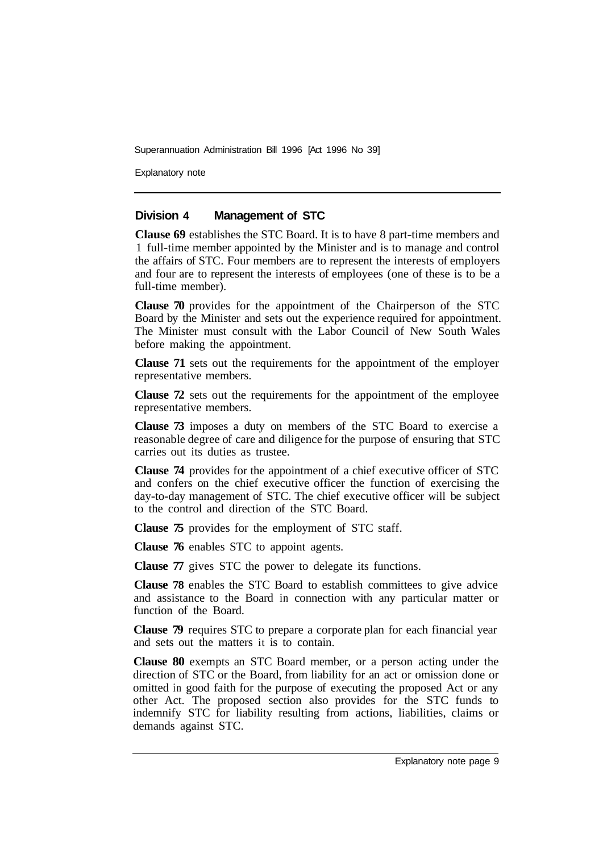Explanatory note

#### **Division 4 Management of STC**

**Clause 69** establishes the STC Board. It is to have 8 part-time members and 1 full-time member appointed by the Minister and is to manage and control the affairs of STC. Four members are to represent the interests of employers and four are to represent the interests of employees (one of these is to be a full-time member).

**Clause 70** provides for the appointment of the Chairperson of the STC Board by the Minister and sets out the experience required for appointment. The Minister must consult with the Labor Council of New South Wales before making the appointment.

**Clause 71** sets out the requirements for the appointment of the employer representative members.

**Clause 72** sets out the requirements for the appointment of the employee representative members.

**Clause 73** imposes a duty on members of the STC Board to exercise a reasonable degree of care and diligence for the purpose of ensuring that STC carries out its duties as trustee.

**Clause 74** provides for the appointment of a chief executive officer of STC and confers on the chief executive officer the function of exercising the day-to-day management of STC. The chief executive officer will be subject to the control and direction of the STC Board.

**Clause 75** provides for the employment of STC staff.

**Clause 76** enables STC to appoint agents.

**Clause 77** gives STC the power to delegate its functions.

**Clause 78** enables the STC Board to establish committees to give advice and assistance to the Board in connection with any particular matter or function of the Board.

**Clause 79** requires STC to prepare a corporate plan for each financial year and sets out the matters it is to contain.

**Clause 80** exempts an STC Board member, or a person acting under the direction of STC or the Board, from liability for an act or omission done or omitted in good faith for the purpose of executing the proposed Act or any other Act. The proposed section also provides for the STC funds to indemnify STC for liability resulting from actions, liabilities, claims or demands against STC.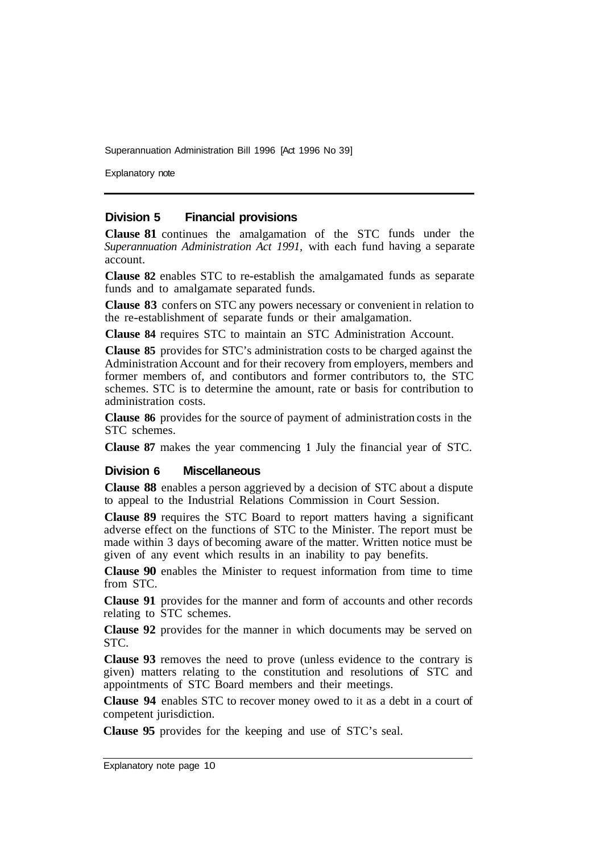Explanatory note

#### **Division 5 Financial provisions**

**Clause 81** continues the amalgamation of the STC funds under the *Superannuation Administration Act 1991,* with each fund having a separate account.

**Clause 82** enables STC to re-establish the amalgamated funds as separate funds and to amalgamate separated funds.

**Clause 83** confers on STC any powers necessary or convenient in relation to the re-establishment of separate funds or their amalgamation.

**Clause 84** requires STC to maintain an STC Administration Account.

**Clause 85** provides for STC's administration costs to be charged against the Administration Account and for their recovery from employers, members and former members of, and contibutors and former contributors to, the STC schemes. STC is to determine the amount, rate or basis for contribution to administration costs.

**Clause 86** provides for the source of payment of administration costs in the STC schemes.

**Clause 87** makes the year commencing **1** July the financial year of STC.

#### **Division 6 Miscellaneous**

**Clause 88** enables a person aggrieved by a decision of STC about a dispute to appeal to the Industrial Relations Commission in Court Session.

**Clause 89** requires the STC Board to report matters having a significant adverse effect on the functions of STC to the Minister. The report must be made within 3 days of becoming aware of the matter. Written notice must be given of any event which results in an inability to pay benefits.

**Clause 90** enables the Minister to request information from time to time from STC.

**Clause 91** provides for the manner and form of accounts and other records relating to STC schemes.

**Clause 92** provides for the manner in which documents may be served on STC.

**Clause 93** removes the need to prove (unless evidence to the contrary is given) matters relating to the constitution and resolutions of STC and appointments of STC Board members and their meetings.

**Clause 94** enables STC to recover money owed to it as a debt in a court of competent jurisdiction.

**Clause 95** provides for the keeping and use of STC's seal.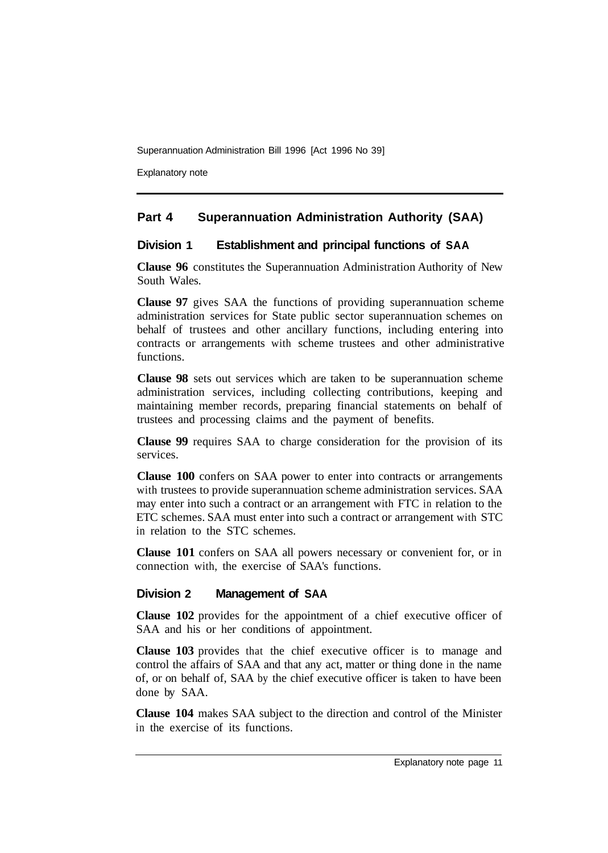Explanatory note

# **Part 4 Superannuation Administration Authority (SAA)**

# **Division 1 Establishment and principal functions of SAA**

**Clause 96** constitutes the Superannuation Administration Authority of New South Wales.

**Clause 97** gives SAA the functions of providing superannuation scheme administration services for State public sector superannuation schemes on behalf of trustees and other ancillary functions, including entering into contracts or arrangements with scheme trustees and other administrative functions.

**Clause 98** sets out services which are taken to be superannuation scheme administration services, including collecting contributions, keeping and maintaining member records, preparing financial statements on behalf of trustees and processing claims and the payment of benefits.

**Clause 99** requires SAA to charge consideration for the provision of its services.

**Clause 100** confers on SAA power to enter into contracts or arrangements with trustees to provide superannuation scheme administration services. SAA may enter into such a contract or an arrangement with FTC in relation to the ETC schemes. SAA must enter into such a contract or arrangement with STC in relation to the STC schemes.

**Clause 101** confers on SAA all powers necessary or convenient for, or in connection with, the exercise of SAA's functions.

# **Division 2 Management of SAA**

**Clause 102** provides for the appointment of a chief executive officer of SAA and his or her conditions of appointment.

**Clause 103** provides that the chief executive officer is to manage and control the affairs of SAA and that any act, matter or thing done in the name of, or on behalf of, SAA by the chief executive officer is taken to have been done by SAA.

**Clause 104** makes SAA subject to the direction and control of the Minister in the exercise of its functions.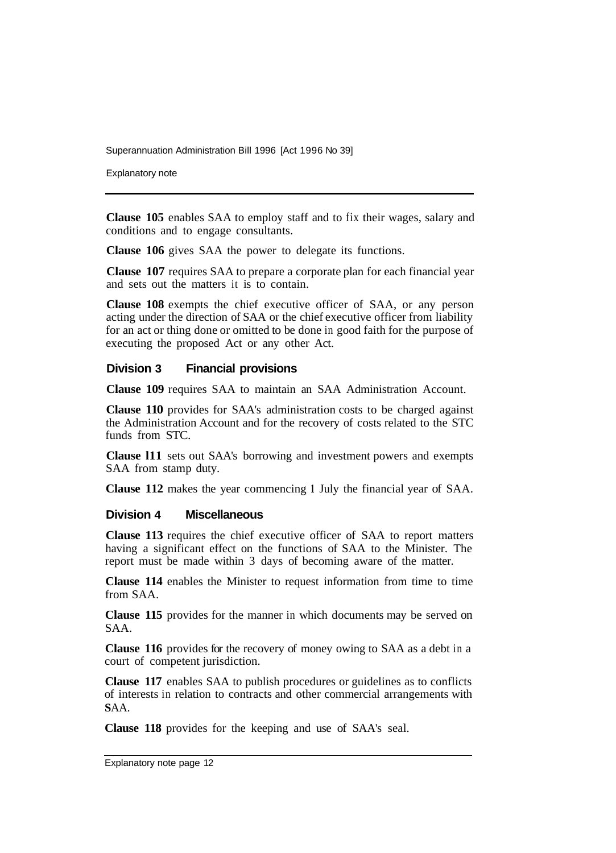Explanatory note

**Clause 105** enables SAA to employ staff and to fix their wages, salary and conditions and to engage consultants.

**Clause 106** gives SAA the power to delegate its functions.

**Clause 107** requires SAA to prepare a corporate plan for each financial year and sets out the matters it is to contain.

**Clause 108** exempts the chief executive officer of SAA, or any person acting under the direction of SAA or the chief executive officer from liability for an act or thing done or omitted to be done in good faith for the purpose of executing the proposed Act or any other Act.

#### **Division 3 Financial provisions**

**Clause 109** requires SAA to maintain an SAA Administration Account.

**Clause 110** provides for SAA's administration costs to be charged against the Administration Account and for the recovery of costs related to the STC funds from STC.

**Clause l11** sets out SAA's borrowing and investment powers and exempts SAA from stamp duty.

**Clause 112** makes the year commencing **1** July the financial year of SAA.

#### **Division 4 Miscellaneous**

**Clause 113** requires the chief executive officer of SAA to report matters having a significant effect on the functions of SAA to the Minister. The report must be made within 3 days of becoming aware of the matter.

**Clause 114** enables the Minister to request information from time to time from SAA.

**Clause 115** provides for the manner in which documents may be served on SAA.

**Clause 116** provides for the recovery of money owing to SAA as a debt in a court of competent jurisdiction.

**Clause 117** enables SAA to publish procedures or guidelines as to conflicts of interests in relation to contracts and other commercial arrangements with **SAA.** 

**Clause 118** provides for the keeping and use of SAA's seal.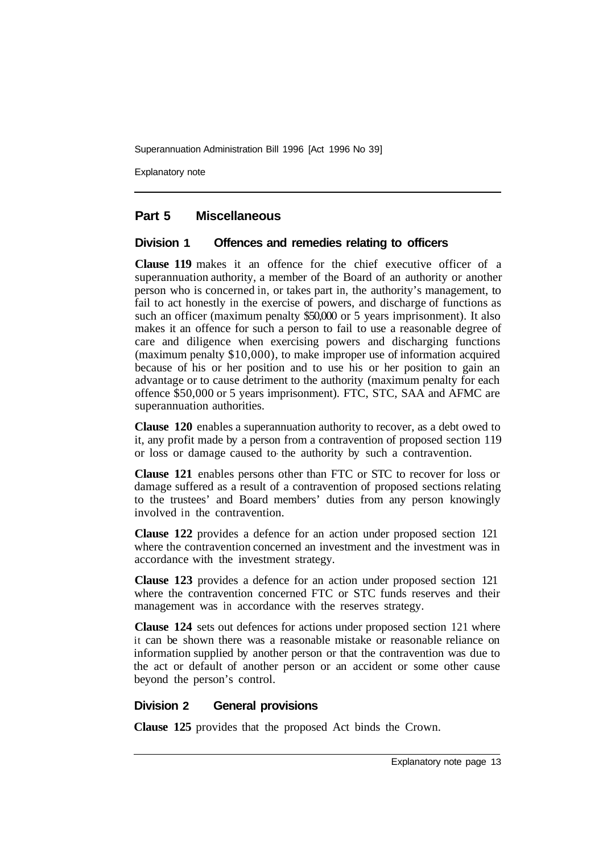Explanatory note

#### **Part 5 Miscellaneous**

#### **Division 1 Offences and remedies relating to officers**

**Clause 119** makes it an offence for the chief executive officer of a superannuation authority, a member of the Board of an authority or another person who is concerned in, or takes part in, the authority's management, to fail to act honestly in the exercise of powers, and discharge of functions as such an officer (maximum penalty \$50,000 or 5 years imprisonment). It also makes it an offence for such a person to fail to use a reasonable degree of care and diligence when exercising powers and discharging functions (maximum penalty \$10,000), to make improper use of information acquired because of his or her position and to use his or her position to gain an advantage or to cause detriment to the authority (maximum penalty for each offence \$50,000 or 5 years imprisonment). FTC, STC, SAA and AFMC are superannuation authorities.

**Clause 120** enables a superannuation authority to recover, as a debt owed to it, any profit made by a person from a contravention of proposed section 119 or loss or damage caused to- the authority by such a contravention.

**Clause 121** enables persons other than FTC or STC to recover for loss or damage suffered as a result of a contravention of proposed sections relating to the trustees' and Board members' duties from any person knowingly involved in the contravention.

**Clause 122** provides a defence for an action under proposed section 121 where the contravention concerned an investment and the investment was in accordance with the investment strategy.

**Clause 123** provides a defence for an action under proposed section 121 where the contravention concerned FTC or STC funds reserves and their management was in accordance with the reserves strategy.

**Clause 124** sets out defences for actions under proposed section 121 where it can be shown there was a reasonable mistake or reasonable reliance on information supplied by another person or that the contravention was due to the act or default of another person or an accident or some other cause beyond the person's control.

#### **Division 2 General provisions**

**Clause 125** provides that the proposed Act binds the Crown.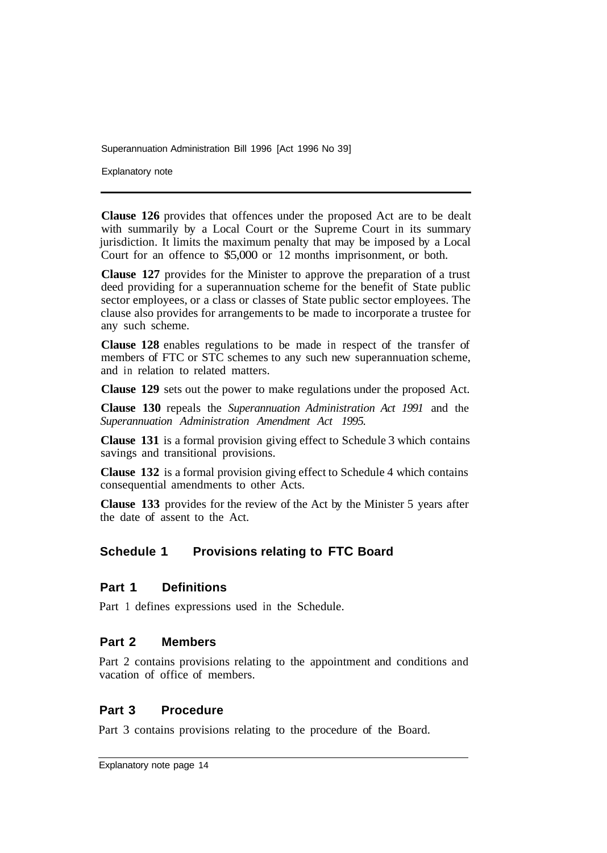Explanatory note

**Clause 126** provides that offences under the proposed Act are to be dealt with summarily by a Local Court or the Supreme Court in its summary jurisdiction. It limits the maximum penalty that may be imposed by a Local Court for an offence to \$5,000 or 12 months imprisonment, or both.

**Clause 127** provides for the Minister to approve the preparation of a trust deed providing for a superannuation scheme for the benefit of State public sector employees, or a class or classes of State public sector employees. The clause also provides for arrangements to be made to incorporate a trustee for any such scheme.

**Clause 128** enables regulations to be made in respect of the transfer of members of FTC or STC schemes to any such new superannuation scheme, and in relation to related matters.

**Clause 129** sets out the power to make regulations under the proposed Act.

**Clause 130** repeals the *Superannuation Administration Act 1991* and the *Superannuation Administration Amendment Act 1995.* 

**Clause 131** is a formal provision giving effect to Schedule 3 which contains savings and transitional provisions.

**Clause 132** is a formal provision giving effect to Schedule 4 which contains consequential amendments to other Acts.

**Clause 133** provides for the review of the Act by the Minister 5 years after the date of assent to the Act.

# **Schedule 1 Provisions relating to FTC Board**

#### **Part 1 Definitions**

Part 1 defines expressions used in the Schedule.

#### **Part 2 Members**

Part 2 contains provisions relating to the appointment and conditions and vacation of office of members.

### **Part 3 Procedure**

Part 3 contains provisions relating to the procedure of the Board.